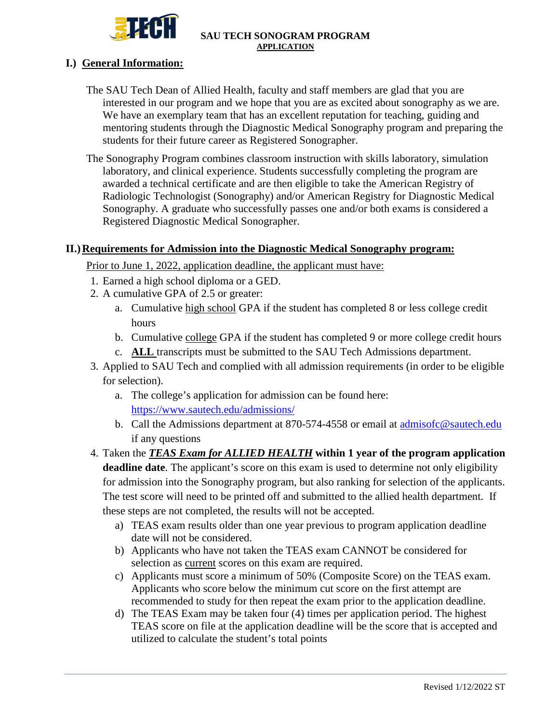

## **I.) General Information:**

- The SAU Tech Dean of Allied Health, faculty and staff members are glad that you are interested in our program and we hope that you are as excited about sonography as we are. We have an exemplary team that has an excellent reputation for teaching, guiding and mentoring students through the Diagnostic Medical Sonography program and preparing the students for their future career as Registered Sonographer.
- The Sonography Program combines classroom instruction with skills laboratory, simulation laboratory, and clinical experience. Students successfully completing the program are awarded a technical certificate and are then eligible to take the American Registry of Radiologic Technologist (Sonography) and/or American Registry for Diagnostic Medical Sonography. A graduate who successfully passes one and/or both exams is considered a Registered Diagnostic Medical Sonographer.

## **II.)Requirements for Admission into the Diagnostic Medical Sonography program:**

Prior to June 1, 2022, application deadline, the applicant must have:

- 1. Earned a high school diploma or a GED.
- 2. A cumulative GPA of 2.5 or greater:
	- a. Cumulative high school GPA if the student has completed 8 or less college credit hours
	- b. Cumulative college GPA if the student has completed 9 or more college credit hours
	- c. **ALL** transcripts must be submitted to the SAU Tech Admissions department.
- 3. Applied to SAU Tech and complied with all admission requirements (in order to be eligible for selection).
	- a. The college's application for admission can be found here: <https://www.sautech.edu/admissions/>
	- b. Call the Admissions department at 870-574-4558 or email at admisofc@sautech.edu if any questions
- 4. Taken the *TEAS Exam for ALLIED HEALTH* **within 1 year of the program application deadline date**. The applicant's score on this exam is used to determine not only eligibility for admission into the Sonography program, but also ranking for selection of the applicants. The test score will need to be printed off and submitted to the allied health department. If these steps are not completed, the results will not be accepted.
	- a) TEAS exam results older than one year previous to program application deadline date will not be considered.
	- b) Applicants who have not taken the TEAS exam CANNOT be considered for selection as current scores on this exam are required.
	- c) Applicants must score a minimum of 50% (Composite Score) on the TEAS exam. Applicants who score below the minimum cut score on the first attempt are recommended to study for then repeat the exam prior to the application deadline.
	- d) The TEAS Exam may be taken four (4) times per application period. The highest TEAS score on file at the application deadline will be the score that is accepted and utilized to calculate the student's total points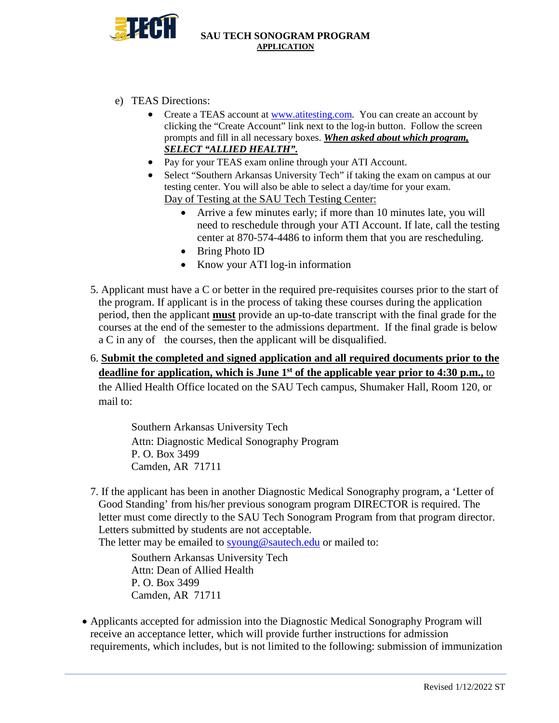

- e) TEAS Directions:
	- Create a TEAS account at [www.atitesting.com.](http://www.atitesting.com/) You can create an account by clicking the "Create Account" link next to the log-in button. Follow the screen prompts and fill in all necessary boxes. *When asked about which program, SELECT "ALLIED HEALTH".*
	- Pay for your TEAS exam online through your ATI Account.
	- Select "Southern Arkansas University Tech" if taking the exam on campus at our testing center. You will also be able to select a day/time for your exam. Day of Testing at the SAU Tech Testing Center:
		- Arrive a few minutes early; if more than 10 minutes late, you will need to reschedule through your ATI Account. If late, call the testing center at 870-574-4486 to inform them that you are rescheduling.
		- Bring Photo ID
		- Know your ATI log-in information
- 5. Applicant must have a C or better in the required pre-requisites courses prior to the start of the program. If applicant is in the process of taking these courses during the application period, then the applicant **must** provide an up-to-date transcript with the final grade for the courses at the end of the semester to the admissions department. If the final grade is below a C in any of the courses, then the applicant will be disqualified.
- 6. **Submit the completed and signed application and all required documents prior to the deadline for application, which is June 1<sup>st</sup> of the applicable year prior to 4:30 p.m., to**

the Allied Health Office located on the SAU Tech campus, Shumaker Hall, Room 120, or mail to:

 Southern Arkansas University Tech Attn: Diagnostic Medical Sonography Program P. O. Box 3499 Camden, AR 71711

7. If the applicant has been in another Diagnostic Medical Sonography program, a 'Letter of Good Standing' from his/her previous sonogram program DIRECTOR is required. The letter must come directly to the SAU Tech Sonogram Program from that program director. Letters submitted by students are not acceptable.

The letter may be emailed to [syoung@sautech.edu](mailto:syoung@sautech.edu) or mailed to:

Southern Arkansas University Tech Attn: Dean of Allied Health P. O. Box 3499 Camden, AR 71711

• Applicants accepted for admission into the Diagnostic Medical Sonography Program will receive an acceptance letter, which will provide further instructions for admission requirements, which includes, but is not limited to the following: submission of immunization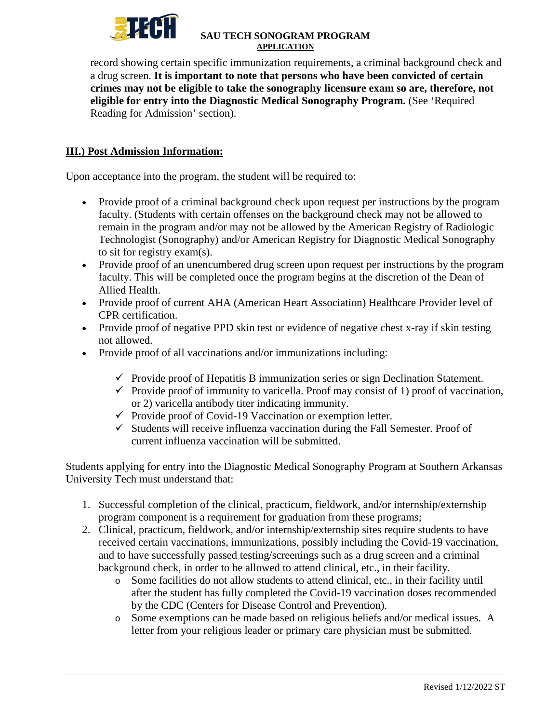

record showing certain specific immunization requirements, a criminal background check and a drug screen. **It is important to note that persons who have been convicted of certain crimes may not be eligible to take the sonography licensure exam so are, therefore, not eligible for entry into the Diagnostic Medical Sonography Program.** (See 'Required Reading for Admission' section).

# **III.) Post Admission Information:**

Upon acceptance into the program, the student will be required to:

- Provide proof of a criminal background check upon request per instructions by the program faculty. (Students with certain offenses on the background check may not be allowed to remain in the program and/or may not be allowed by the American Registry of Radiologic Technologist (Sonography) and/or American Registry for Diagnostic Medical Sonography to sit for registry exam(s).
- Provide proof of an unencumbered drug screen upon request per instructions by the program faculty. This will be completed once the program begins at the discretion of the Dean of Allied Health.
- Provide proof of current AHA (American Heart Association) Healthcare Provider level of CPR certification.
- Provide proof of negative PPD skin test or evidence of negative chest x-ray if skin testing not allowed.
- Provide proof of all vaccinations and/or immunizations including:
	- $\checkmark$  Provide proof of Hepatitis B immunization series or sign Declination Statement.
	- $\checkmark$  Provide proof of immunity to varicella. Proof may consist of 1) proof of vaccination, or 2) varicella antibody titer indicating immunity.
	- $\checkmark$  Provide proof of Covid-19 Vaccination or exemption letter.
	- $\checkmark$  Students will receive influenza vaccination during the Fall Semester. Proof of current influenza vaccination will be submitted.

Students applying for entry into the Diagnostic Medical Sonography Program at Southern Arkansas University Tech must understand that:

- 1. Successful completion of the clinical, practicum, fieldwork, and/or internship/externship program component is a requirement for graduation from these programs;
- 2. Clinical, practicum, fieldwork, and/or internship/externship sites require students to have received certain vaccinations, immunizations, possibly including the Covid-19 vaccination, and to have successfully passed testing/screenings such as a drug screen and a criminal background check, in order to be allowed to attend clinical, etc., in their facility.
	- o Some facilities do not allow students to attend clinical, etc., in their facility until after the student has fully completed the Covid-19 vaccination doses recommended by the CDC (Centers for Disease Control and Prevention).
	- o Some exemptions can be made based on religious beliefs and/or medical issues. A letter from your religious leader or primary care physician must be submitted.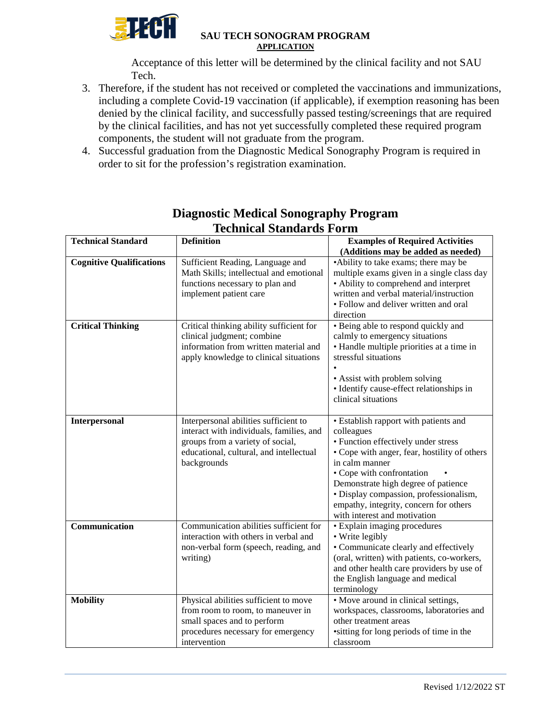

Acceptance of this letter will be determined by the clinical facility and not SAU Tech.

- 3. Therefore, if the student has not received or completed the vaccinations and immunizations, including a complete Covid-19 vaccination (if applicable), if exemption reasoning has been denied by the clinical facility, and successfully passed testing/screenings that are required by the clinical facilities, and has not yet successfully completed these required program components, the student will not graduate from the program.
- 4. Successful graduation from the Diagnostic Medical Sonography Program is required in order to sit for the profession's registration examination.

| Technical Standards Form        |                                                                                                                                                                                 |                                                                                                                                                                                                                                                                                                                                                      |  |  |  |  |
|---------------------------------|---------------------------------------------------------------------------------------------------------------------------------------------------------------------------------|------------------------------------------------------------------------------------------------------------------------------------------------------------------------------------------------------------------------------------------------------------------------------------------------------------------------------------------------------|--|--|--|--|
| <b>Technical Standard</b>       | <b>Definition</b>                                                                                                                                                               | <b>Examples of Required Activities</b>                                                                                                                                                                                                                                                                                                               |  |  |  |  |
|                                 |                                                                                                                                                                                 | (Additions may be added as needed)                                                                                                                                                                                                                                                                                                                   |  |  |  |  |
| <b>Cognitive Qualifications</b> | Sufficient Reading, Language and<br>Math Skills; intellectual and emotional<br>functions necessary to plan and<br>implement patient care                                        | •Ability to take exams; there may be<br>multiple exams given in a single class day<br>• Ability to comprehend and interpret<br>written and verbal material/instruction<br>• Follow and deliver written and oral<br>direction                                                                                                                         |  |  |  |  |
| <b>Critical Thinking</b>        | Critical thinking ability sufficient for<br>clinical judgment; combine<br>information from written material and<br>apply knowledge to clinical situations                       | • Being able to respond quickly and<br>calmly to emergency situations<br>• Handle multiple priorities at a time in<br>stressful situations<br>• Assist with problem solving<br>· Identify cause-effect relationships in<br>clinical situations                                                                                                       |  |  |  |  |
| Interpersonal                   | Interpersonal abilities sufficient to<br>interact with individuals, families, and<br>groups from a variety of social,<br>educational, cultural, and intellectual<br>backgrounds | • Establish rapport with patients and<br>colleagues<br>• Function effectively under stress<br>• Cope with anger, fear, hostility of others<br>in calm manner<br>• Cope with confrontation<br>Demonstrate high degree of patience<br>· Display compassion, professionalism,<br>empathy, integrity, concern for others<br>with interest and motivation |  |  |  |  |
| Communication                   | Communication abilities sufficient for<br>interaction with others in verbal and<br>non-verbal form (speech, reading, and<br>writing)                                            | • Explain imaging procedures<br>• Write legibly<br>• Communicate clearly and effectively<br>(oral, written) with patients, co-workers,<br>and other health care providers by use of<br>the English language and medical<br>terminology                                                                                                               |  |  |  |  |
| <b>Mobility</b>                 | Physical abilities sufficient to move<br>from room to room, to maneuver in<br>small spaces and to perform<br>procedures necessary for emergency<br>intervention                 | • Move around in clinical settings,<br>workspaces, classrooms, laboratories and<br>other treatment areas<br>•sitting for long periods of time in the<br>classroom                                                                                                                                                                                    |  |  |  |  |

# **Diagnostic Medical Sonography Program Technical Standards Form**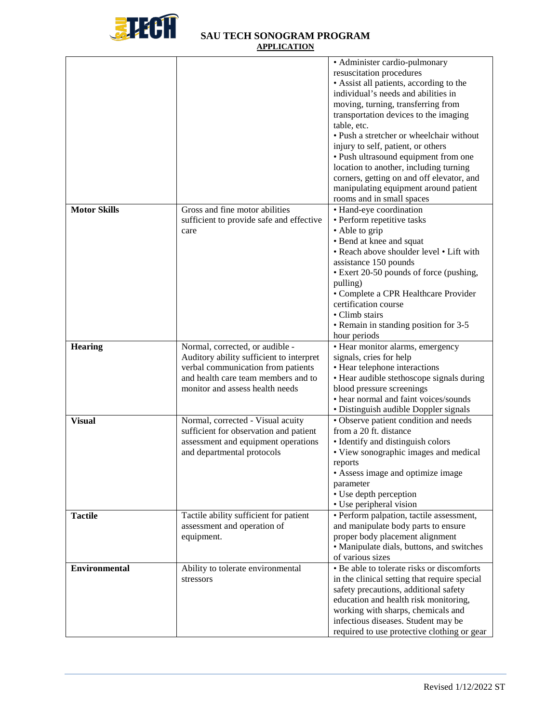

|                      |                                          | • Administer cardio-pulmonary                |
|----------------------|------------------------------------------|----------------------------------------------|
|                      |                                          | resuscitation procedures                     |
|                      |                                          | • Assist all patients, according to the      |
|                      |                                          | individual's needs and abilities in          |
|                      |                                          | moving, turning, transferring from           |
|                      |                                          | transportation devices to the imaging        |
|                      |                                          | table, etc.                                  |
|                      |                                          | • Push a stretcher or wheelchair without     |
|                      |                                          | injury to self, patient, or others           |
|                      |                                          | • Push ultrasound equipment from one         |
|                      |                                          | location to another, including turning       |
|                      |                                          | corners, getting on and off elevator, and    |
|                      |                                          | manipulating equipment around patient        |
|                      |                                          |                                              |
| <b>Motor Skills</b>  | Gross and fine motor abilities           | rooms and in small spaces                    |
|                      |                                          | • Hand-eye coordination                      |
|                      | sufficient to provide safe and effective | • Perform repetitive tasks                   |
|                      | care                                     | • Able to grip                               |
|                      |                                          | • Bend at knee and squat                     |
|                      |                                          | • Reach above shoulder level • Lift with     |
|                      |                                          | assistance 150 pounds                        |
|                      |                                          | • Exert 20-50 pounds of force (pushing,      |
|                      |                                          | pulling)                                     |
|                      |                                          | · Complete a CPR Healthcare Provider         |
|                      |                                          | certification course                         |
|                      |                                          | · Climb stairs                               |
|                      |                                          | • Remain in standing position for 3-5        |
|                      |                                          | hour periods                                 |
| <b>Hearing</b>       | Normal, corrected, or audible -          | • Hear monitor alarms, emergency             |
|                      | Auditory ability sufficient to interpret | signals, cries for help                      |
|                      | verbal communication from patients       | • Hear telephone interactions                |
|                      | and health care team members and to      | • Hear audible stethoscope signals during    |
|                      | monitor and assess health needs          | blood pressure screenings                    |
|                      |                                          | • hear normal and faint voices/sounds        |
|                      |                                          | • Distinguish audible Doppler signals        |
| <b>Visual</b>        | Normal, corrected - Visual acuity        | • Observe patient condition and needs        |
|                      | sufficient for observation and patient   | from a 20 ft. distance                       |
|                      | assessment and equipment operations      | • Identify and distinguish colors            |
|                      | and departmental protocols               | • View sonographic images and medical        |
|                      |                                          | reports                                      |
|                      |                                          | • Assess image and optimize image            |
|                      |                                          | parameter                                    |
|                      |                                          | • Use depth perception                       |
|                      |                                          | • Use peripheral vision                      |
| <b>Tactile</b>       | Tactile ability sufficient for patient   | · Perform palpation, tactile assessment,     |
|                      | assessment and operation of              | and manipulate body parts to ensure          |
|                      | equipment.                               | proper body placement alignment              |
|                      |                                          | • Manipulate dials, buttons, and switches    |
|                      |                                          | of various sizes                             |
| <b>Environmental</b> | Ability to tolerate environmental        | • Be able to tolerate risks or discomforts   |
|                      | stressors                                | in the clinical setting that require special |
|                      |                                          | safety precautions, additional safety        |
|                      |                                          | education and health risk monitoring,        |
|                      |                                          | working with sharps, chemicals and           |
|                      |                                          | infectious diseases. Student may be          |
|                      |                                          | required to use protective clothing or gear  |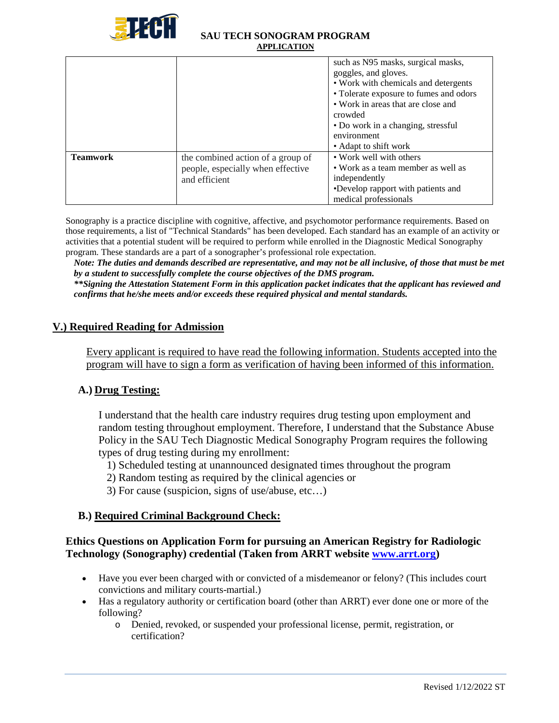

|                 |                                   | such as N95 masks, surgical masks,<br>goggles, and gloves.<br>• Work with chemicals and detergents |
|-----------------|-----------------------------------|----------------------------------------------------------------------------------------------------|
|                 |                                   | • Tolerate exposure to fumes and odors<br>• Work in areas that are close and<br>crowded            |
|                 |                                   | • Do work in a changing, stressful                                                                 |
|                 |                                   | environment                                                                                        |
|                 |                                   | • Adapt to shift work                                                                              |
| <b>Teamwork</b> | the combined action of a group of | • Work well with others                                                                            |
|                 | people, especially when effective | • Work as a team member as well as                                                                 |
|                 | and efficient                     | independently                                                                                      |
|                 |                                   | •Develop rapport with patients and                                                                 |
|                 |                                   | medical professionals                                                                              |

Sonography is a practice discipline with cognitive, affective, and psychomotor performance requirements. Based on those requirements, a list of "Technical Standards" has been developed. Each standard has an example of an activity or activities that a potential student will be required to perform while enrolled in the Diagnostic Medical Sonography program. These standards are a part of a sonographer's professional role expectation.

*Note: The duties and demands described are representative, and may not be all inclusive, of those that must be met by a student to successfully complete the course objectives of the DMS program. \*\*Signing the Attestation Statement Form in this application packet indicates that the applicant has reviewed and confirms that he/she meets and/or exceeds these required physical and mental standards.*

## **V.) Required Reading for Admission**

Every applicant is required to have read the following information. Students accepted into the program will have to sign a form as verification of having been informed of this information.

# **A.) Drug Testing:**

I understand that the health care industry requires drug testing upon employment and random testing throughout employment. Therefore, I understand that the Substance Abuse Policy in the SAU Tech Diagnostic Medical Sonography Program requires the following types of drug testing during my enrollment:

- 1) Scheduled testing at unannounced designated times throughout the program
- 2) Random testing as required by the clinical agencies or
- 3) For cause (suspicion, signs of use/abuse, etc…)

## **B.) Required Criminal Background Check:**

## **Ethics Questions on Application Form for pursuing an American Registry for Radiologic Technology (Sonography) credential (Taken from ARRT website [www.arrt.org\)](http://www.arrt.org/)**

- Have you ever been charged with or convicted of a misdemeanor or felony? (This includes court convictions and military courts-martial.)
- Has a regulatory authority or certification board (other than ARRT) ever done one or more of the following?
	- o Denied, revoked, or suspended your professional license, permit, registration, or certification?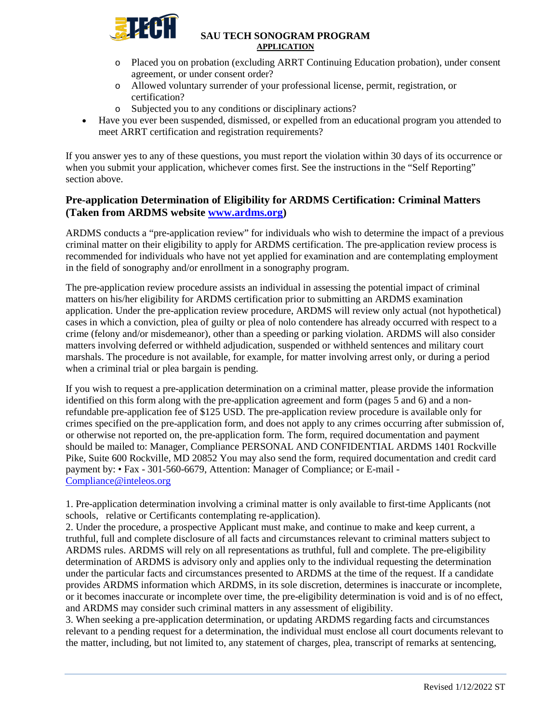

- o Placed you on probation (excluding ARRT Continuing Education probation), under consent agreement, or under consent order?
- o Allowed voluntary surrender of your professional license, permit, registration, or certification?
- o Subjected you to any conditions or disciplinary actions?
- Have you ever been suspended, dismissed, or expelled from an educational program you attended to meet ARRT certification and registration requirements?

If you answer yes to any of these questions, you must report the violation within 30 days of its occurrence or when you submit your application, whichever comes first. See the instructions in the "Self Reporting" section above.

## **Pre-application Determination of Eligibility for ARDMS Certification: Criminal Matters (Taken from ARDMS website [www.ardms.org\)](http://www.ardms.org/)**

ARDMS conducts a "pre-application review" for individuals who wish to determine the impact of a previous criminal matter on their eligibility to apply for ARDMS certification. The pre-application review process is recommended for individuals who have not yet applied for examination and are contemplating employment in the field of sonography and/or enrollment in a sonography program.

The pre-application review procedure assists an individual in assessing the potential impact of criminal matters on his/her eligibility for ARDMS certification prior to submitting an ARDMS examination application. Under the pre-application review procedure, ARDMS will review only actual (not hypothetical) cases in which a conviction, plea of guilty or plea of nolo contendere has already occurred with respect to a crime (felony and/or misdemeanor), other than a speeding or parking violation. ARDMS will also consider matters involving deferred or withheld adjudication, suspended or withheld sentences and military court marshals. The procedure is not available, for example, for matter involving arrest only, or during a period when a criminal trial or plea bargain is pending.

If you wish to request a pre-application determination on a criminal matter, please provide the information identified on this form along with the pre-application agreement and form (pages 5 and 6) and a nonrefundable pre-application fee of \$125 USD. The pre-application review procedure is available only for crimes specified on the pre-application form, and does not apply to any crimes occurring after submission of, or otherwise not reported on, the pre-application form. The form, required documentation and payment should be mailed to: Manager, Compliance PERSONAL AND CONFIDENTIAL ARDMS 1401 Rockville Pike, Suite 600 Rockville, MD 20852 You may also send the form, required documentation and credit card payment by: • Fax - 301-560-6679, Attention: Manager of Compliance; or E-mail - [Compliance@inteleos.org](mailto:Compliance@inteleos.org) 

1. Pre-application determination involving a criminal matter is only available to first-time Applicants (not schools, relative or Certificants contemplating re-application).

2. Under the procedure, a prospective Applicant must make, and continue to make and keep current, a truthful, full and complete disclosure of all facts and circumstances relevant to criminal matters subject to ARDMS rules. ARDMS will rely on all representations as truthful, full and complete. The pre-eligibility determination of ARDMS is advisory only and applies only to the individual requesting the determination under the particular facts and circumstances presented to ARDMS at the time of the request. If a candidate provides ARDMS information which ARDMS, in its sole discretion, determines is inaccurate or incomplete, or it becomes inaccurate or incomplete over time, the pre-eligibility determination is void and is of no effect, and ARDMS may consider such criminal matters in any assessment of eligibility.

3. When seeking a pre-application determination, or updating ARDMS regarding facts and circumstances relevant to a pending request for a determination, the individual must enclose all court documents relevant to the matter, including, but not limited to, any statement of charges, plea, transcript of remarks at sentencing,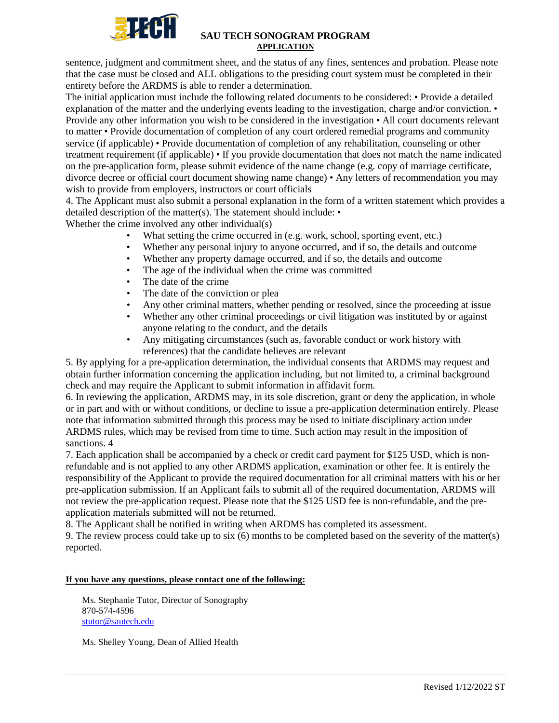

sentence, judgment and commitment sheet, and the status of any fines, sentences and probation. Please note that the case must be closed and ALL obligations to the presiding court system must be completed in their entirety before the ARDMS is able to render a determination.

The initial application must include the following related documents to be considered: • Provide a detailed explanation of the matter and the underlying events leading to the investigation, charge and/or conviction. • Provide any other information you wish to be considered in the investigation • All court documents relevant to matter • Provide documentation of completion of any court ordered remedial programs and community service (if applicable) • Provide documentation of completion of any rehabilitation, counseling or other treatment requirement (if applicable) • If you provide documentation that does not match the name indicated on the pre-application form, please submit evidence of the name change (e.g. copy of marriage certificate, divorce decree or official court document showing name change) • Any letters of recommendation you may wish to provide from employers, instructors or court officials

4. The Applicant must also submit a personal explanation in the form of a written statement which provides a detailed description of the matter(s). The statement should include: •

Whether the crime involved any other individual(s)

- What setting the crime occurred in (e.g. work, school, sporting event, etc.)
- Whether any personal injury to anyone occurred, and if so, the details and outcome
- Whether any property damage occurred, and if so, the details and outcome
- The age of the individual when the crime was committed
- The date of the crime
- The date of the conviction or plea
- Any other criminal matters, whether pending or resolved, since the proceeding at issue
- Whether any other criminal proceedings or civil litigation was instituted by or against anyone relating to the conduct, and the details
- Any mitigating circumstances (such as, favorable conduct or work history with references) that the candidate believes are relevant

5. By applying for a pre-application determination, the individual consents that ARDMS may request and obtain further information concerning the application including, but not limited to, a criminal background check and may require the Applicant to submit information in affidavit form.

6. In reviewing the application, ARDMS may, in its sole discretion, grant or deny the application, in whole or in part and with or without conditions, or decline to issue a pre-application determination entirely. Please note that information submitted through this process may be used to initiate disciplinary action under ARDMS rules, which may be revised from time to time. Such action may result in the imposition of sanctions. 4

7. Each application shall be accompanied by a check or credit card payment for \$125 USD, which is nonrefundable and is not applied to any other ARDMS application, examination or other fee. It is entirely the responsibility of the Applicant to provide the required documentation for all criminal matters with his or her pre-application submission. If an Applicant fails to submit all of the required documentation, ARDMS will not review the pre-application request. Please note that the \$125 USD fee is non-refundable, and the preapplication materials submitted will not be returned.

8. The Applicant shall be notified in writing when ARDMS has completed its assessment.

9. The review process could take up to six (6) months to be completed based on the severity of the matter(s) reported.

### **If you have any questions, please contact one of the following:**

Ms. Stephanie Tutor, Director of Sonography 870-574-4596 [stutor@sautech.edu](mailto:stutor@sautech.edu)

Ms. Shelley Young, Dean of Allied Health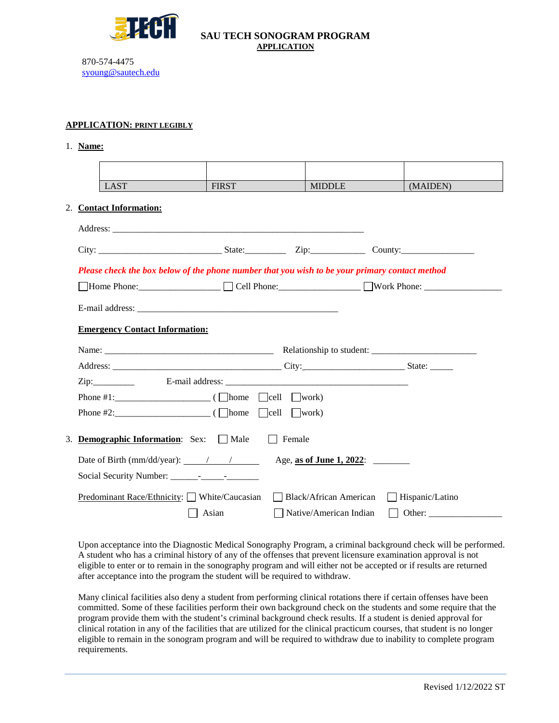

[syoung@sautech.edu](mailto:syoung@sautech.edu) 

870-574-4475

#### **APPLICATION: PRINT LEGIBLY**

#### 1. **Name:**

| <b>LAST</b>                                                                                    | <b>FIRST</b> | <b>MIDDLE</b>            | (MAIDEN)        |
|------------------------------------------------------------------------------------------------|--------------|--------------------------|-----------------|
| 2. Contact Information:                                                                        |              |                          |                 |
|                                                                                                |              |                          |                 |
|                                                                                                |              |                          |                 |
| Please check the box below of the phone number that you wish to be your primary contact method |              |                          |                 |
|                                                                                                |              |                          |                 |
|                                                                                                |              |                          |                 |
| <b>Emergency Contact Information:</b>                                                          |              |                          |                 |
|                                                                                                |              |                          |                 |
|                                                                                                |              |                          |                 |
|                                                                                                |              |                          |                 |
| Phone #1: $\Box$ ( $\Box$ home $\Box$ cell $\Box$ work)                                        |              |                          |                 |
|                                                                                                |              |                          |                 |
| 3. Demographic Information: Sex: Male                                                          |              | Female                   |                 |
|                                                                                                |              |                          |                 |
| Date of Birth (mm/dd/year): $\frac{\sqrt{2}}{2}$                                               |              | Age, as of June 1, 2022: |                 |
|                                                                                                |              |                          |                 |
| Predominant Race/Ethnicity: $\Box$ White/Caucasian                                             |              | Black/African American   | Hispanic/Latino |
|                                                                                                | Asian        | Native/American Indian   |                 |

Upon acceptance into the Diagnostic Medical Sonography Program, a criminal background check will be performed. A student who has a criminal history of any of the offenses that prevent licensure examination approval is not eligible to enter or to remain in the sonography program and will either not be accepted or if results are returned after acceptance into the program the student will be required to withdraw.

Many clinical facilities also deny a student from performing clinical rotations there if certain offenses have been committed. Some of these facilities perform their own background check on the students and some require that the program provide them with the student's criminal background check results. If a student is denied approval for clinical rotation in any of the facilities that are utilized for the clinical practicum courses, that student is no longer eligible to remain in the sonogram program and will be required to withdraw due to inability to complete program requirements.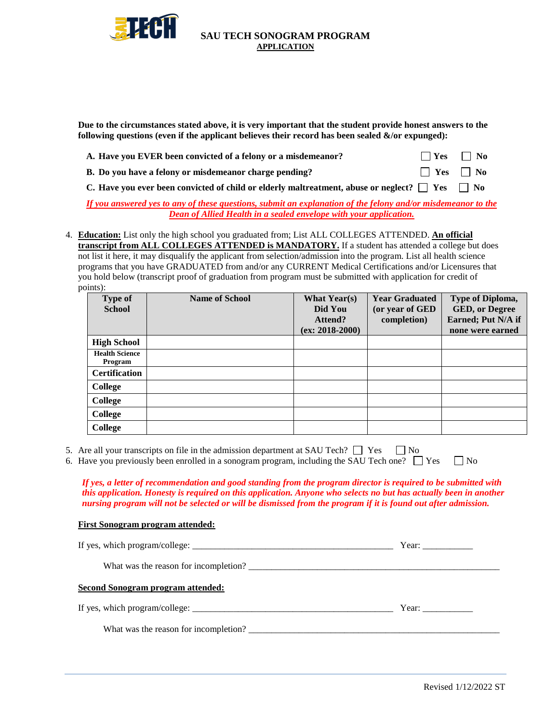

**Due to the circumstances stated above, it is very important that the student provide honest answers to the**  following questions (even if the applicant believes their record has been sealed  $\&$ /or expunged):

| A. Have you EVER been convicted of a felony or a misdemean or? | $\Box$ Yes $\Box$ No |  |
|----------------------------------------------------------------|----------------------|--|
| B. Do you have a felony or misdemeanor charge pending?         | $\Box$ Yes $\Box$ No |  |

C. Have you ever been convicted of child or elderly maltreatment, abuse or neglect?  $\square$  Yes  $\square$  No

*If you answered yes to any of these questions, submit an explanation of the felony and/or misdemeanor to the Dean of Allied Health in a sealed envelope with your application.*

4. **Education:** List only the high school you graduated from; List ALL COLLEGES ATTENDED. **An official transcript from ALL COLLEGES ATTENDED is MANDATORY.** If a student has attended a college but does not list it here, it may disqualify the applicant from selection/admission into the program. List all health science programs that you have GRADUATED from and/or any CURRENT Medical Certifications and/or Licensures that you hold below (transcript proof of graduation from program must be submitted with application for credit of points):

| <b>Type of</b><br><b>School</b>  | <b>Name of School</b> | <b>What Year(s)</b><br>Did You<br>Attend?<br>$(ex: 2018-2000)$ | <b>Year Graduated</b><br>(or year of GED<br>completion) | Type of Diploma,<br><b>GED, or Degree</b><br>Earned; Put N/A if<br>none were earned |
|----------------------------------|-----------------------|----------------------------------------------------------------|---------------------------------------------------------|-------------------------------------------------------------------------------------|
| <b>High School</b>               |                       |                                                                |                                                         |                                                                                     |
| <b>Health Science</b><br>Program |                       |                                                                |                                                         |                                                                                     |
| <b>Certification</b>             |                       |                                                                |                                                         |                                                                                     |
| <b>College</b>                   |                       |                                                                |                                                         |                                                                                     |
| <b>College</b>                   |                       |                                                                |                                                         |                                                                                     |
| <b>College</b>                   |                       |                                                                |                                                         |                                                                                     |
| <b>College</b>                   |                       |                                                                |                                                         |                                                                                     |

|      |  | 5. Are all your transcripts on file in the admission department at SAU Tech? $\Box$ Yes $\Box$ No |                                                                                                                 |  |  |  |
|------|--|---------------------------------------------------------------------------------------------------|-----------------------------------------------------------------------------------------------------------------|--|--|--|
| ____ |  |                                                                                                   | - 1990년 - 1991년 - 1991년 - 1991년 - 1992년 - 1992년 - 1992년 - 1992년 - 1992년 - 1992년 - 1992년 - 1992년 - 1992년 - 1992년 |  |  |  |

| 6. Have you previously been enrolled in a sonogram program, including the SAU Tech one? $\Box$ Yes $\Box$ No |  |  |
|--------------------------------------------------------------------------------------------------------------|--|--|
|--------------------------------------------------------------------------------------------------------------|--|--|

*If yes, a letter of recommendation and good standing from the program director is required to be submitted with this application. Honesty is required on this application. Anyone who selects no but has actually been in another nursing program will not be selected or will be dismissed from the program if it is found out after admission.*

#### **First Sonogram program attended:**

|                                          | Year: |
|------------------------------------------|-------|
| What was the reason for incompletion?    |       |
| <b>Second Sonogram program attended:</b> |       |
|                                          | Year: |
| What was the reason for incompletion?    |       |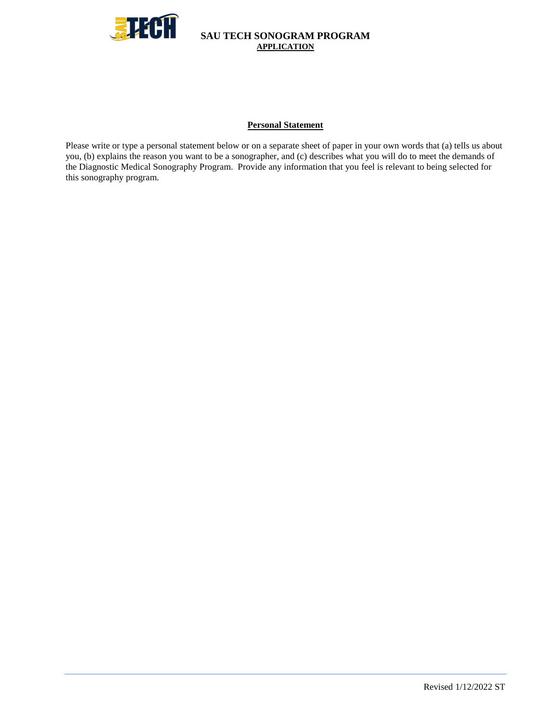

#### **Personal Statement**

Please write or type a personal statement below or on a separate sheet of paper in your own words that (a) tells us about you, (b) explains the reason you want to be a sonographer, and (c) describes what you will do to meet the demands of the Diagnostic Medical Sonography Program. Provide any information that you feel is relevant to being selected for this sonography program.